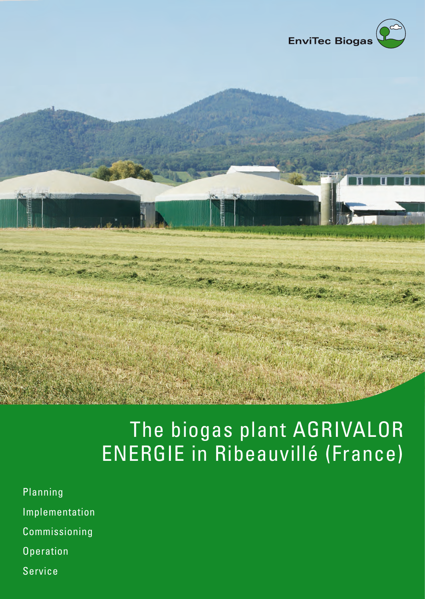

## The biogas plant AGRIVALOR ENERGIE in Ribeauvillé (France)

- Planning Implementation Commissioning
- **Operation**
- Service